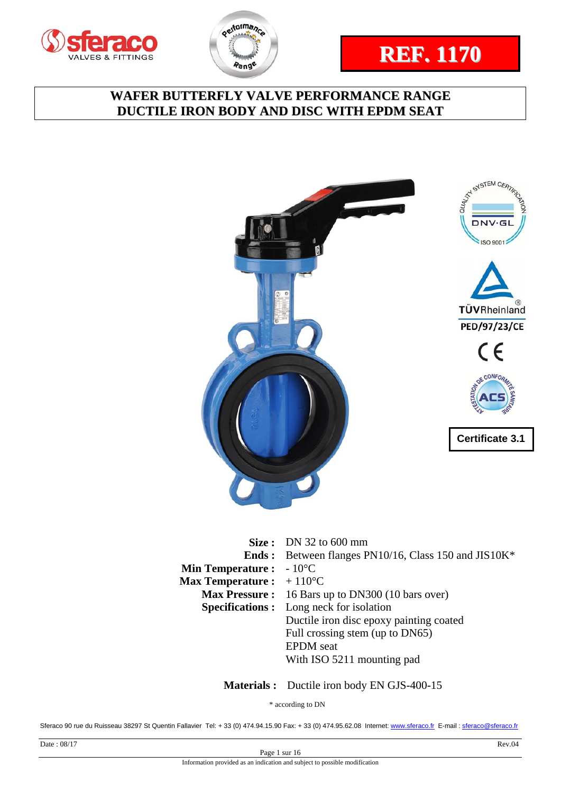







|                                           | <b>Size:</b> DN 32 to 600 mm                                |
|-------------------------------------------|-------------------------------------------------------------|
|                                           | <b>Ends:</b> Between flanges PN10/16, Class 150 and JIS10K* |
| <b>Min Temperature :</b> $-10^{\circ}$ C  |                                                             |
| <b>Max Temperature :</b> $+110^{\circ}$ C |                                                             |
|                                           | <b>Max Pressure:</b> 16 Bars up to DN300 (10 bars over)     |
|                                           | <b>Specifications:</b> Long neck for isolation              |
|                                           | Ductile iron disc epoxy painting coated                     |
|                                           | Full crossing stem (up to DN65)                             |
|                                           | <b>EPDM</b> seat                                            |
|                                           | With ISO 5211 mounting pad                                  |
|                                           |                                                             |

 **Materials :** Ductile iron body EN GJS-400-15

\* according to DN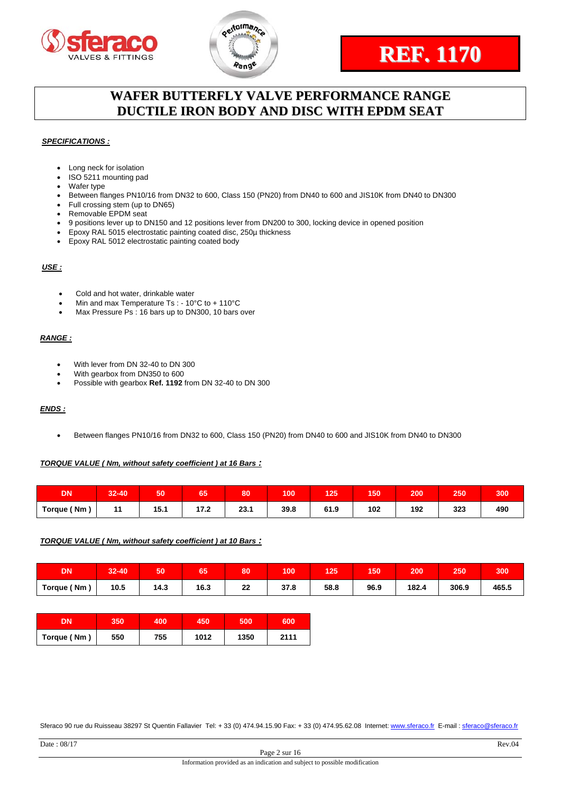





#### *SPECIFICATIONS :*

- Long neck for isolation
- ISO 5211 mounting pad
- Wafer type
- Between flanges PN10/16 from DN32 to 600, Class 150 (PN20) from DN40 to 600 and JIS10K from DN40 to DN300
- Full crossing stem (up to DN65)
- Removable EPDM seat
- 9 positions lever up to DN150 and 12 positions lever from DN200 to 300, locking device in opened position
- Epoxy RAL 5015 electrostatic painting coated disc, 250µ thickness
- Epoxy RAL 5012 electrostatic painting coated body

#### *USE :*

- Cold and hot water, drinkable water
- Min and max Temperature Ts : 10°C to + 110°C
- Max Pressure Ps : 16 bars up to DN300, 10 bars over

#### *RANGE :*

- With lever from DN 32-40 to DN 300
- With gearbox from DN350 to 600
- Possible with gearbox **Ref. 1192** from DN 32-40 to DN 300

#### *ENDS :*

Between flanges PN10/16 from DN32 to 600, Class 150 (PN20) from DN40 to 600 and JIS10K from DN40 to DN300

#### *TORQUE VALUE ( Nm, without safety coefficient ) at 16 Bars :*

| DΝ          | $32 - 40$ | 50   | --<br>65        | 80   | 100  | 125  | 150 | 200 | 250 | 300 |
|-------------|-----------|------|-----------------|------|------|------|-----|-----|-----|-----|
| Torque (Nm) | 44        | 15.1 | י לי<br>ـ ـ ـ ـ | 23.1 | 39.8 | 61.9 | 102 | 192 | 323 | 490 |

#### *TORQUE VALUE ( Nm, without safety coefficient ) at 10 Bars :*

| DN                | 32-40 | 50         | 65   | 80       | 100        | 125  | 150  | 200   | 250   | 300   |
|-------------------|-------|------------|------|----------|------------|------|------|-------|-------|-------|
| <b>Torque (Nm</b> | 10.5  | 14.3<br>__ | 16.3 | າາ<br>44 | 27<br>37.8 | 58.8 | 96.9 | 182.4 | 306.9 | 465.5 |

| DN          | 350 | 400 | 450  | 500  | 600  |
|-------------|-----|-----|------|------|------|
| Torque (Nm) | 550 | 755 | 1012 | 1350 | 2111 |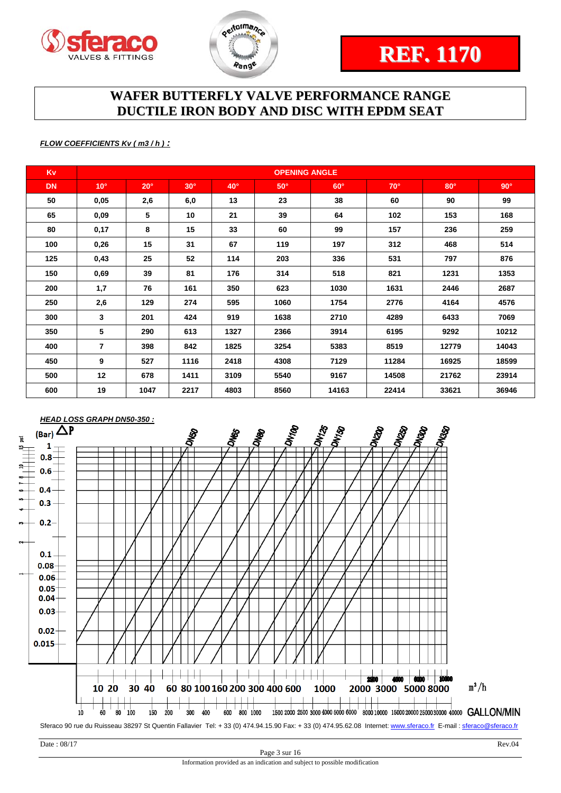



#### *FLOW COEFFICIENTS Kv ( m3 / h ) :*

| <b>Kv</b> |                |            |            |            | <b>OPENING ANGLE</b> |            |            |            |            |
|-----------|----------------|------------|------------|------------|----------------------|------------|------------|------------|------------|
| <b>DN</b> | $10^{\circ}$   | $20^\circ$ | $30^\circ$ | $40^\circ$ | $50^\circ$           | $60^\circ$ | $70^\circ$ | $80^\circ$ | $90^\circ$ |
| 50        | 0,05           | 2,6        | 6,0        | 13         | 23                   | 38         | 60         | 90         | 99         |
| 65        | 0,09           | 5          | 10         | 21         | 39                   | 64         | 102        | 153        | 168        |
| 80        | 0,17           | 8          | 15         | 33         | 60                   | 99         | 157        | 236        | 259        |
| 100       | 0,26           | 15         | 31         | 67         | 119                  | 197        | 312        | 468        | 514        |
| 125       | 0,43           | 25         | 52         | 114        | 203                  | 336        | 531        | 797        | 876        |
| 150       | 0,69           | 39         | 81         | 176        | 314                  | 518        | 821        | 1231       | 1353       |
| 200       | 1,7            | 76         | 161        | 350        | 623                  | 1030       | 1631       | 2446       | 2687       |
| 250       | 2,6            | 129        | 274        | 595        | 1060                 | 1754       | 2776       | 4164       | 4576       |
| 300       | 3              | 201        | 424        | 919        | 1638                 | 2710       | 4289       | 6433       | 7069       |
| 350       | 5              | 290        | 613        | 1327       | 2366                 | 3914       | 6195       | 9292       | 10212      |
| 400       | $\overline{7}$ | 398        | 842        | 1825       | 3254                 | 5383       | 8519       | 12779      | 14043      |
| 450       | 9              | 527        | 1116       | 2418       | 4308                 | 7129       | 11284      | 16925      | 18599      |
| 500       | 12             | 678        | 1411       | 3109       | 5540                 | 9167       | 14508      | 21762      | 23914      |
| 600       | 19             | 1047       | 2217       | 4803       | 8560                 | 14163      | 22414      | 33621      | 36946      |

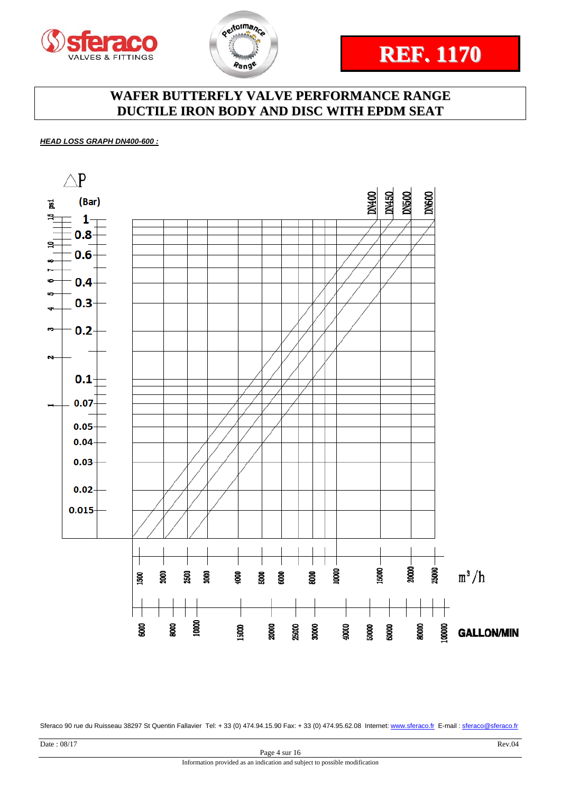





*HEAD LOSS GRAPH DN400-600 :* 

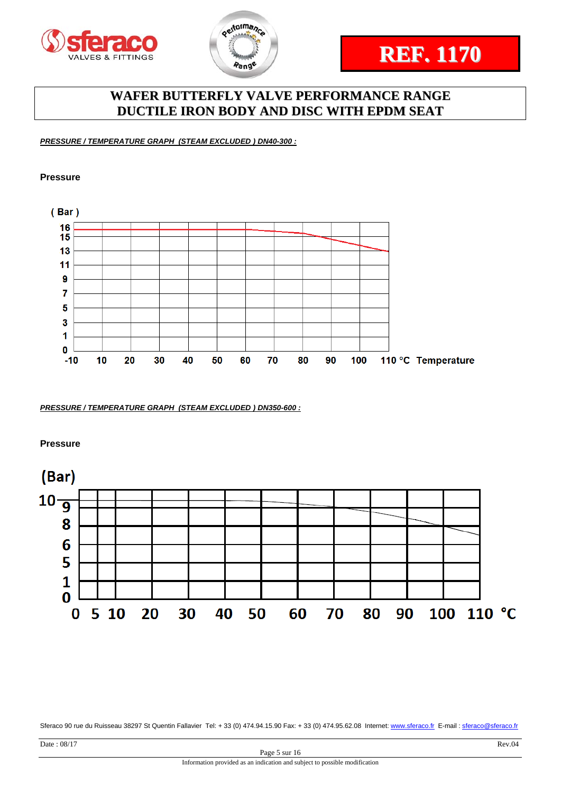



*PRESSURE / TEMPERATURE GRAPH (STEAM EXCLUDED ) DN40-300 :* 

#### **Pressure**



*PRESSURE / TEMPERATURE GRAPH (STEAM EXCLUDED ) DN350-600 :* 

**Pressure** 

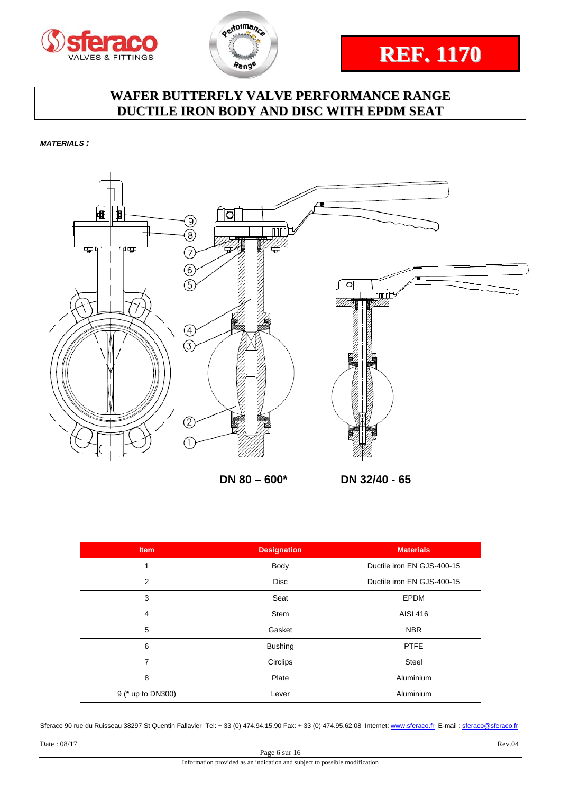





*MATERIALS :* 



**DN 80 – 600\* D** 

|  | DN 32/40 - 65 |  |  |
|--|---------------|--|--|
|--|---------------|--|--|

| <b>Item</b>       | <b>Designation</b> | <b>Materials</b>           |
|-------------------|--------------------|----------------------------|
| 1                 | Body               | Ductile iron EN GJS-400-15 |
| 2                 | <b>Disc</b>        | Ductile iron EN GJS-400-15 |
| 3                 | Seat               | <b>EPDM</b>                |
| 4                 | <b>Stem</b>        | AISI 416                   |
| 5                 | Gasket             | <b>NBR</b>                 |
| 6                 | <b>Bushing</b>     | <b>PTFE</b>                |
| 7                 | Circlips           | <b>Steel</b>               |
| 8                 | Plate              | Aluminium                  |
| 9 (* up to DN300) | Lever              | Aluminium                  |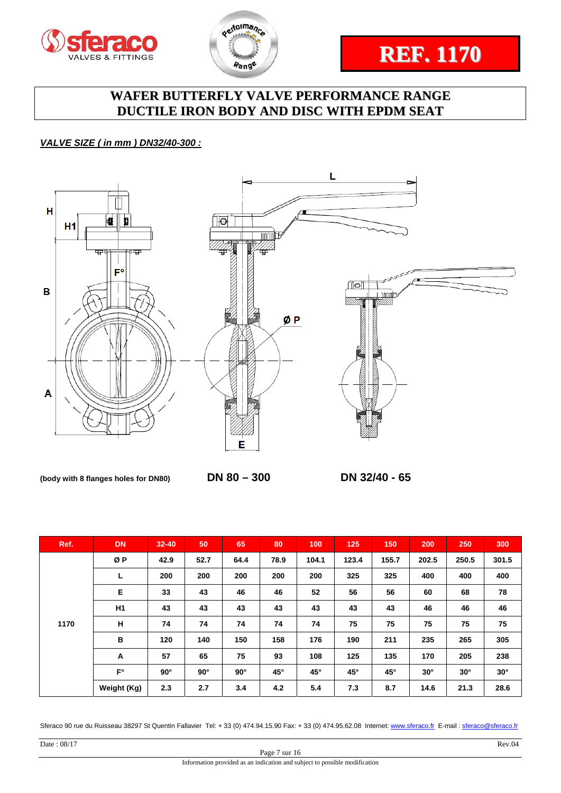



# **REF. 1170**

# **WAFER BUTTERFLY VALVE PERFORMANCE RANGE DUCTILE IRON BODY AND DISC WITH EPDM SEAT**

#### *VALVE SIZE ( in mm ) DN32/40-300 :*



**(body with 8 flanges holes for DN80) DN 80 – 300 DN 32/40 - 65** 

| Ref. | <b>DN</b>   | $32 - 40$  | 50         | 65         | 80   | 100          | 125          | 150          | 200        | 250        | 300        |
|------|-------------|------------|------------|------------|------|--------------|--------------|--------------|------------|------------|------------|
|      | ØP          | 42.9       | 52.7       | 64.4       | 78.9 | 104.1        | 123.4        | 155.7        | 202.5      | 250.5      | 301.5      |
|      | L           | 200        | 200        | 200        | 200  | 200          | 325          | 325          | 400        | 400        | 400        |
| 1170 | E           | 33         | 43         | 46         | 46   | 52           | 56           | 56           | 60         | 68         | 78         |
|      | H1          | 43         | 43         | 43         | 43   | 43           | 43           | 43           | 46         | 46         | 46         |
|      | н           | 74         | 74         | 74         | 74   | 74           | 75           | 75           | 75         | 75         | 75         |
|      | B           | 120        | 140        | 150        | 158  | 176          | 190          | 211          | 235        | 265        | 305        |
|      | A           | 57         | 65         | 75         | 93   | 108          | 125          | 135          | 170        | 205        | 238        |
|      | $F^{\circ}$ | $90^\circ$ | $90^\circ$ | $90^\circ$ | 45°  | $45^{\circ}$ | $45^{\circ}$ | $45^{\circ}$ | $30^\circ$ | $30^\circ$ | $30^\circ$ |
|      | Weight (Kg) | 2.3        | 2.7        | 3.4        | 4.2  | 5.4          | 7.3          | 8.7          | 14.6       | 21.3       | 28.6       |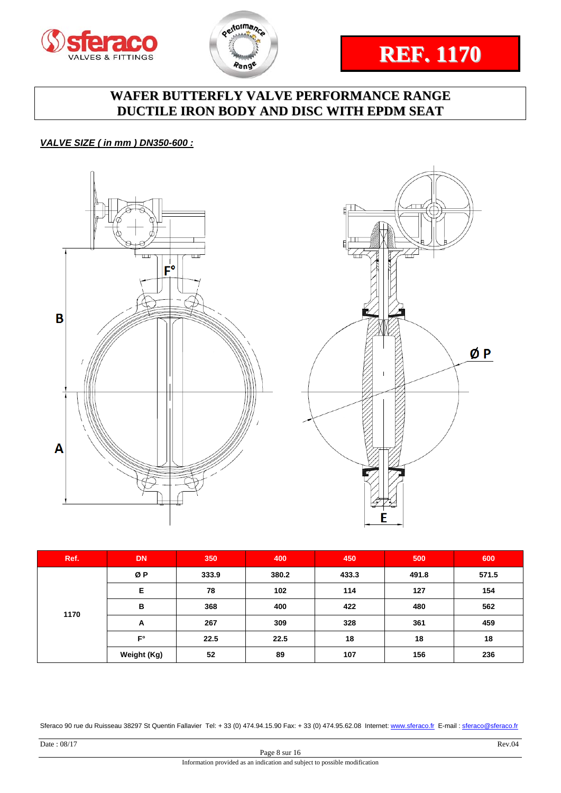





#### *VALVE SIZE ( in mm ) DN350-600 :*





| Ref. | <b>DN</b>   | 350       | 400   | 450   | 500   | 600   |
|------|-------------|-----------|-------|-------|-------|-------|
|      | ØΡ          | 333.9     | 380.2 | 433.3 | 491.8 | 571.5 |
|      | Е           | 78<br>102 |       | 114   | 127   | 154   |
| 1170 | B           | 368       | 400   | 422   | 480   | 562   |
|      | A           | 267       | 309   | 328   | 361   | 459   |
|      | $F^{\circ}$ | 22.5      | 22.5  | 18    | 18    | 18    |
|      | Weight (Kg) | 52        | 89    | 107   | 156   | 236   |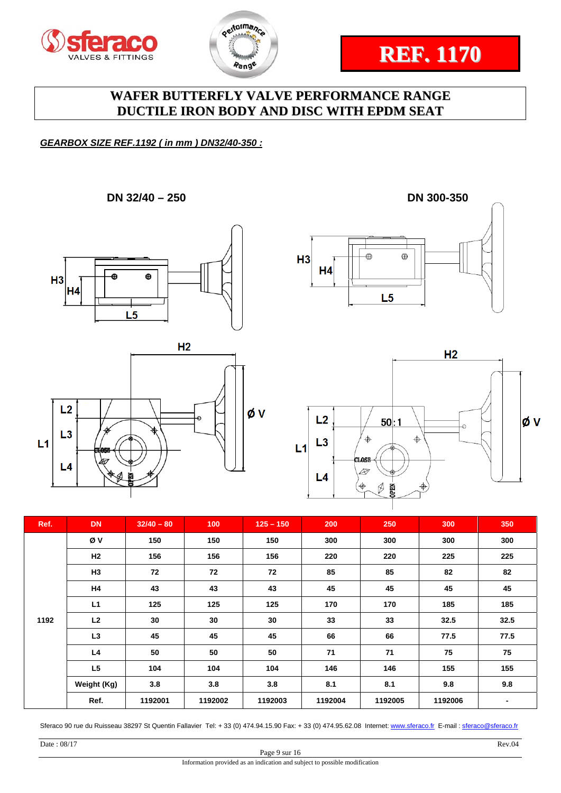





#### *GEARBOX SIZE REF.1192 ( in mm ) DN32/40-350 :*

**DN 32/40 – 250 DN 300-350** 









| Ref. | <b>DN</b>      | $32/40 - 80$ | 100     | $125 - 150$ | 200     | 250     | 300     | 350            |
|------|----------------|--------------|---------|-------------|---------|---------|---------|----------------|
|      | Øν             | 150          | 150     | 150         | 300     | 300     | 300     | 300            |
|      | H2             | 156          | 156     | 156         | 220     | 220     | 225     | 225            |
|      | H3             | 72           | 72      | 72          | 85      | 85      | 82      | 82             |
|      | H4             | 43           | 43      | 43          | 45      | 45      | 45      | 45             |
|      | L1             | 125          | 125     | 125         | 170     | 170     | 185     | 185            |
| 1192 | L2             | 30           | 30      | 30          | 33      | 33      | 32.5    | 32.5           |
|      | L <sub>3</sub> | 45           | 45      | 45          | 66      | 66      | 77.5    | 77.5           |
|      | L4             | 50           | 50      | 50          | 71      | 71      | 75      | 75             |
|      | L <sub>5</sub> | 104          | 104     | 104         | 146     | 146     | 155     | 155            |
|      | Weight (Kg)    | 3.8          | 3.8     | 3.8         | 8.1     | 8.1     | 9.8     | 9.8            |
|      | Ref.           | 1192001      | 1192002 | 1192003     | 1192004 | 1192005 | 1192006 | $\blacksquare$ |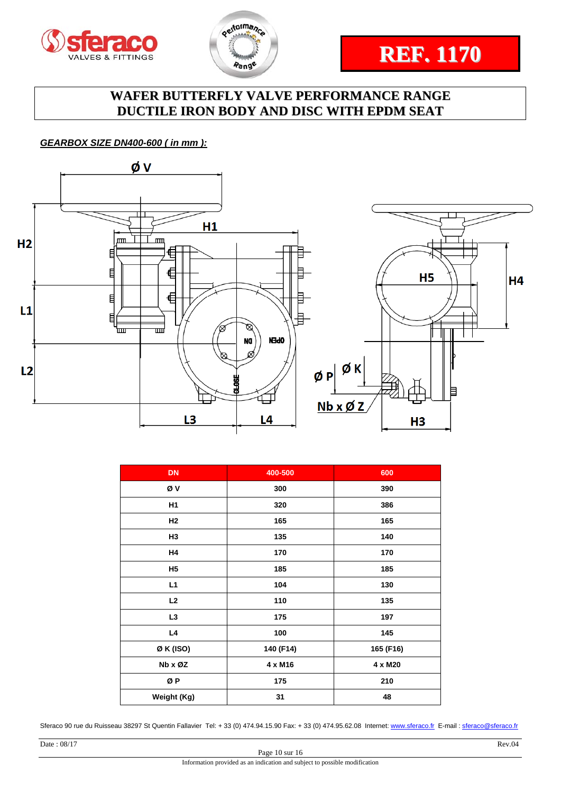



# **REF. 1170**

### **WAFER BUTTERFLY VALVE PERFORMANCE RANGE DUCTILE IRON BODY AND DISC WITH EPDM SEAT**

#### *GEARBOX SIZE DN400-600 ( in mm ):*



| <b>DN</b>      | 400-500   | 600       |
|----------------|-----------|-----------|
| ØV             | 300       | 390       |
| H <sub>1</sub> | 320       | 386       |
| H2             | 165       | 165       |
| H <sub>3</sub> | 135       | 140       |
| H4             | 170       | 170       |
| <b>H5</b>      | 185       | 185       |
| L1             | 104       | 130       |
| L2             | 110       | 135       |
| L <sub>3</sub> | 175       | 197       |
| L4             | 100       | 145       |
| ØK (ISO)       | 140 (F14) | 165 (F16) |
| Nb x ØZ        | 4 x M16   | 4 x M20   |
| ØΡ             | 175       | 210       |
| Weight (Kg)    | 31        | 48        |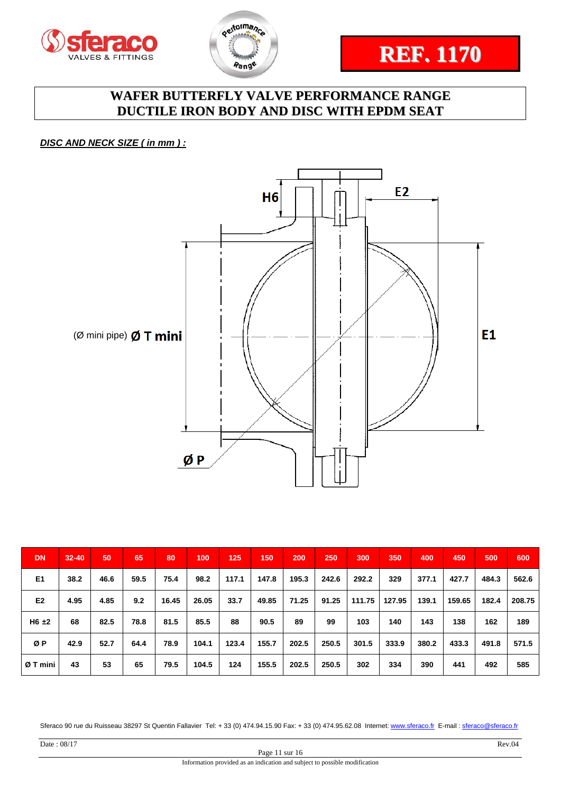





*DISC AND NECK SIZE ( in mm ) :* 



| <b>DN</b>      | $32 - 40$ | 50   | 65   | 80    | 100   | 125   | 150   | 200   | 250   | 300    | 350    | 400   | 450    | 500   | 600    |
|----------------|-----------|------|------|-------|-------|-------|-------|-------|-------|--------|--------|-------|--------|-------|--------|
| E <sub>1</sub> | 38.2      | 46.6 | 59.5 | 75.4  | 98.2  | 117.1 | 147.8 | 195.3 | 242.6 | 292.2  | 329    | 377.1 | 427.7  | 484.3 | 562.6  |
| E <sub>2</sub> | 4.95      | 4.85 | 9.2  | 16.45 | 26.05 | 33.7  | 49.85 | 71.25 | 91.25 | 111.75 | 127.95 | 139.1 | 159.65 | 182.4 | 208.75 |
| $H6 \pm 2$     | 68        | 82.5 | 78.8 | 81.5  | 85.5  | 88    | 90.5  | 89    | 99    | 103    | 140    | 143   | 138    | 162   | 189    |
| ØΡ             | 42.9      | 52.7 | 64.4 | 78.9  | 104.1 | 123.4 | 155.7 | 202.5 | 250.5 | 301.5  | 333.9  | 380.2 | 433.3  | 491.8 | 571.5  |
| Ø T mini       | 43        | 53   | 65   | 79.5  | 104.5 | 124   | 155.5 | 202.5 | 250.5 | 302    | 334    | 390   | 441    | 492   | 585    |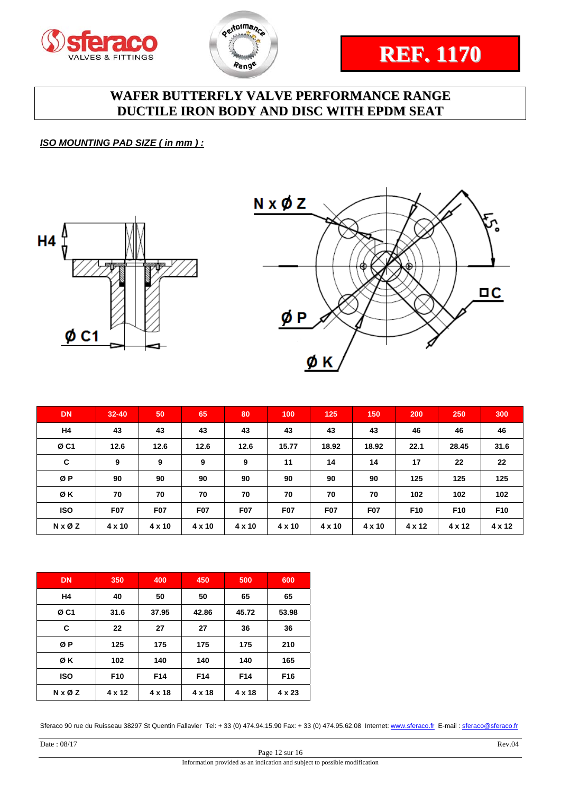





*ISO MOUNTING PAD SIZE ( in mm ) :* 





| <b>DN</b>       | $32 - 40$     | 50         | 65         | 80         | 100           | 125           | 150           | 200             | 250             | 300             |
|-----------------|---------------|------------|------------|------------|---------------|---------------|---------------|-----------------|-----------------|-----------------|
| H4              | 43            | 43         | 43         | 43         | 43            | 43            | 43            | 46              | 46              | 46              |
| ØC <sub>1</sub> | 12.6          | 12.6       | 12.6       | 12.6       | 15.77         | 18.92         | 18.92         | 22.1            | 28.45           | 31.6            |
| C               | 9             | 9          | 9          | 9          | 11            | 14            | 14            | 17              | 22              | 22              |
| ØP              | 90            | 90         | 90         | 90         | 90            | 90            | 90            | 125             | 125             | 125             |
| ØK              | 70            | 70         | 70         | 70         | 70            | 70            | 70            | 102             | 102             | 102             |
| <b>ISO</b>      | <b>F07</b>    | <b>F07</b> | <b>F07</b> | <b>F07</b> | <b>F07</b>    | <b>F07</b>    | <b>F07</b>    | F <sub>10</sub> | F <sub>10</sub> | F <sub>10</sub> |
| N x Ø Z         | $4 \times 10$ | 4 x 10     | 4 x 10     | 4 x 10     | $4 \times 10$ | $4 \times 10$ | $4 \times 10$ | $4 \times 12$   | $4 \times 12$   | $4 \times 12$   |

| <b>DN</b>                | 350             | 400    | 450    | 500             | 600             |
|--------------------------|-----------------|--------|--------|-----------------|-----------------|
| H <sub>4</sub>           | 40              | 50     | 50     | 65              | 65              |
| ØC <sub>1</sub>          | 31.6            | 37.95  | 42.86  | 45.72           | 53.98           |
| C                        | 22              | 27     | 27     | 36              | 36              |
| ØΡ                       | 125             | 175    | 175    | 175             | 210             |
| ØΚ                       | 102             | 140    | 140    | 140             | 165             |
| <b>ISO</b>               | F <sub>10</sub> | F14    | F14    | F <sub>14</sub> | F <sub>16</sub> |
| $N \times \varnothing Z$ | 4 x 12          | 4 x 18 | 4 x 18 | 4 x 18          | 4 x 23          |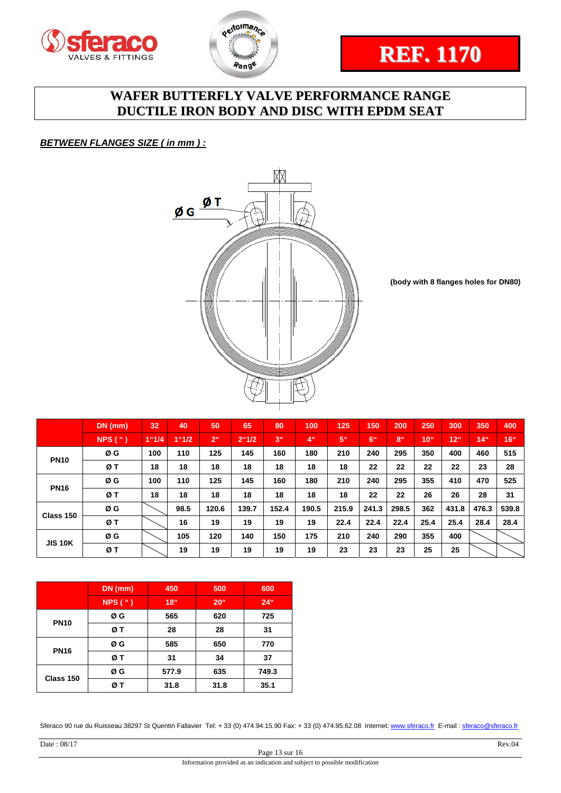





*BETWEEN FLANGES SIZE ( in mm ) :* 



**(body with 8 flanges holes for DN80)**

|                | DN (mm)             | 32    | 40    | 50              | 65             | 80              | 100             | 125             | 150             | 200             | 250              | 300   | 350             | 400              |
|----------------|---------------------|-------|-------|-----------------|----------------|-----------------|-----------------|-----------------|-----------------|-----------------|------------------|-------|-----------------|------------------|
|                | $NPS$ ( $\degree$ ) | 1"1/4 | 1"1/2 | 2 <sup>ii</sup> | $2^{\circ}1/2$ | 3 <sup>th</sup> | 4 <sup>ii</sup> | 5 <sup>ii</sup> | 6 <sup>ii</sup> | 8 <sup>th</sup> | 10 <sup>th</sup> | 12"   | 14 <sup>0</sup> | 16 <sup>th</sup> |
| <b>PN10</b>    | ØG                  | 100   | 110   | 125             | 145            | 160             | 180             | 210             | 240             | 295             | 350              | 400   | 460             | 515              |
|                | ØΤ                  | 18    | 18    | 18              | 18             | 18              | 18              | 18              | 22              | 22              | 22               | 22    | 23              | 28               |
| <b>PN16</b>    | ØG                  | 100   | 110   | 125             | 145            | 160             | 180             | 210             | 240             | 295             | 355              | 410   | 470             | 525              |
|                | ØΤ                  | 18    | 18    | 18              | 18             | 18              | 18              | 18              | 22              | 22              | 26               | 26    | 28              | 31               |
| Class 150      | ØG                  |       | 98.5  | 120.6           | 139.7          | 152.4           | 190.5           | 215.9           | 241.3           | 298.5           | 362              | 431.8 | 476.3           | 539.8            |
|                | ØT                  |       | 16    | 19              | 19             | 19              | 19              | 22.4            | 22.4            | 22.4            | 25.4             | 25.4  | 28.4            | 28.4             |
| <b>JIS 10K</b> | ØG                  |       | 105   | 120             | 140            | 150             | 175             | 210             | 240             | 290             | 355              | 400   |                 |                  |
|                | ØΤ                  |       | 19    | 19              | 19             | 19              | 19              | 23              | 23              | 23              | 25               | 25    |                 |                  |

|             | $DN$ (mm) | 450              | 500             | 600    |  |
|-------------|-----------|------------------|-----------------|--------|--|
|             | NPS(")    | 18 <sup>th</sup> | 20 <sup>4</sup> | $24$ " |  |
| <b>PN10</b> | ØG        | 565              | 620             | 725    |  |
|             | øт        | 28               | 28              | 31     |  |
|             | ØG        | 585              | 650             | 770    |  |
| <b>PN16</b> | øт        | 31               | 34              | 37     |  |
| Class 150   | ØG        | 577.9            | 635             | 749.3  |  |
|             | ØΤ        | 31.8             | 31.8            | 35.1   |  |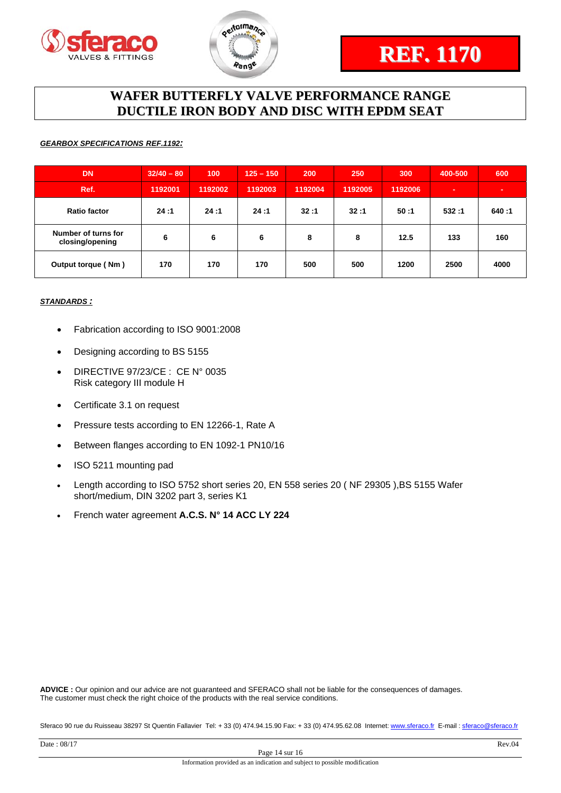



#### *GEARBOX SPECIFICATIONS REF.1192:*

| <b>DN</b>                              | $32/40 - 80$ | 100     | $125 - 150$ | 200     | 250     | 300     | 400-500 | 600   |
|----------------------------------------|--------------|---------|-------------|---------|---------|---------|---------|-------|
| Ref.                                   | 1192001      | 1192002 | 1192003     | 1192004 | 1192005 | 1192006 |         |       |
| <b>Ratio factor</b>                    | 24:1         | 24:1    | 24:1        | 32:1    | 32:1    | 50:1    | 532:1   | 640:1 |
| Number of turns for<br>closing/opening | 6            | 6       | 6           | 8       | 8       | 12.5    | 133     | 160   |
| Output torque (Nm)                     | 170          | 170     | 170         | 500     | 500     | 1200    | 2500    | 4000  |

#### *STANDARDS :*

- Fabrication according to ISO 9001:2008
- Designing according to BS 5155
- DIRECTIVE 97/23/CE : CE N° 0035 Risk category III module H
- Certificate 3.1 on request
- Pressure tests according to EN 12266-1, Rate A
- Between flanges according to EN 1092-1 PN10/16
- ISO 5211 mounting pad
- Length according to ISO 5752 short series 20, EN 558 series 20 ( NF 29305 ),BS 5155 Wafer short/medium, DIN 3202 part 3, series K1
- French water agreement **A.C.S. N° 14 ACC LY 224**

**ADVICE :** Our opinion and our advice are not guaranteed and SFERACO shall not be liable for the consequences of damages. The customer must check the right choice of the products with the real service conditions.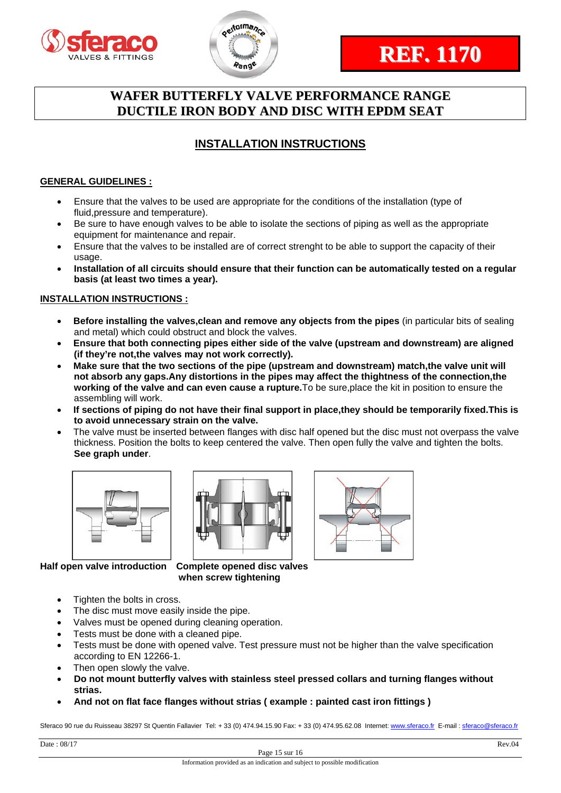



### **INSTALLATION INSTRUCTIONS**

#### **GENERAL GUIDELINES :**

- Ensure that the valves to be used are appropriate for the conditions of the installation (type of fluid,pressure and temperature).
- Be sure to have enough valves to be able to isolate the sections of piping as well as the appropriate equipment for maintenance and repair.
- Ensure that the valves to be installed are of correct strenght to be able to support the capacity of their usage.
- **Installation of all circuits should ensure that their function can be automatically tested on a regular basis (at least two times a year).**

#### **INSTALLATION INSTRUCTIONS :**

- **Before installing the valves,clean and remove any objects from the pipes** (in particular bits of sealing and metal) which could obstruct and block the valves.
- **Ensure that both connecting pipes either side of the valve (upstream and downstream) are aligned (if they're not,the valves may not work correctly).**
- **Make sure that the two sections of the pipe (upstream and downstream) match,the valve unit will not absorb any gaps.Any distortions in the pipes may affect the thightness of the connection,the working of the valve and can even cause a rupture.**To be sure,place the kit in position to ensure the assembling will work.
- **If sections of piping do not have their final support in place,they should be temporarily fixed.This is to avoid unnecessary strain on the valve.**
- The valve must be inserted between flanges with disc half opened but the disc must not overpass the valve thickness. Position the bolts to keep centered the valve. Then open fully the valve and tighten the bolts. **See graph under**.







**Half open valve introduction Complete opened disc valves when screw tightening** 

- Tighten the bolts in cross.
- The disc must move easily inside the pipe.
- Valves must be opened during cleaning operation.
- Tests must be done with a cleaned pipe.
- Tests must be done with opened valve. Test pressure must not be higher than the valve specification according to EN 12266-1.
- Then open slowly the valve.
- **Do not mount butterfly valves with stainless steel pressed collars and turning flanges without strias.**
- **And not on flat face flanges without strias ( example : painted cast iron fittings )**